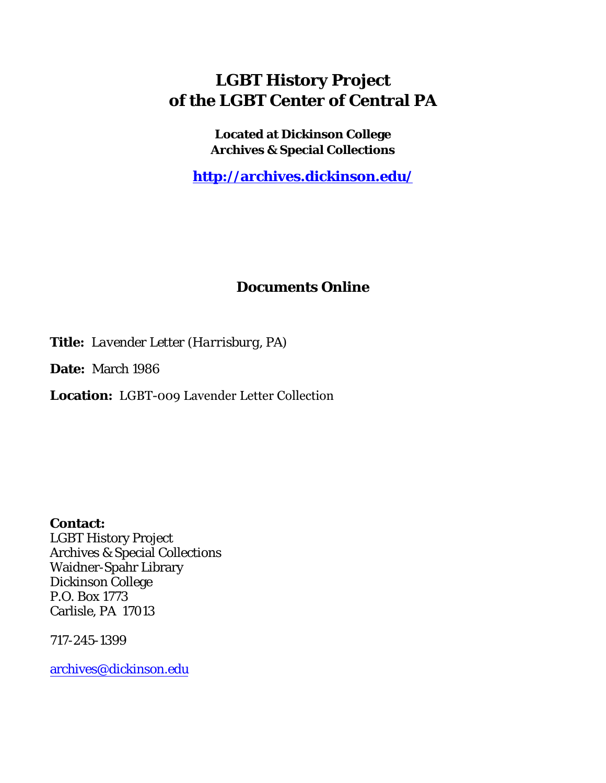## **LGBT History Project of the LGBT Center of Central PA**

**Located at Dickinson College Archives & Special Collections**

**<http://archives.dickinson.edu/>**

## **Documents Online**

**Title:** *Lavender Letter (Harrisburg, PA)*

**Date:** March 1986

**Location:** LGBT-009 Lavender Letter Collection

**Contact:**  LGBT History Project Archives & Special Collections Waidner-Spahr Library Dickinson College P.O. Box 1773 Carlisle, PA 17013

717-245-1399

[archives@dickinson.edu](mailto:archives@dickinson.edu)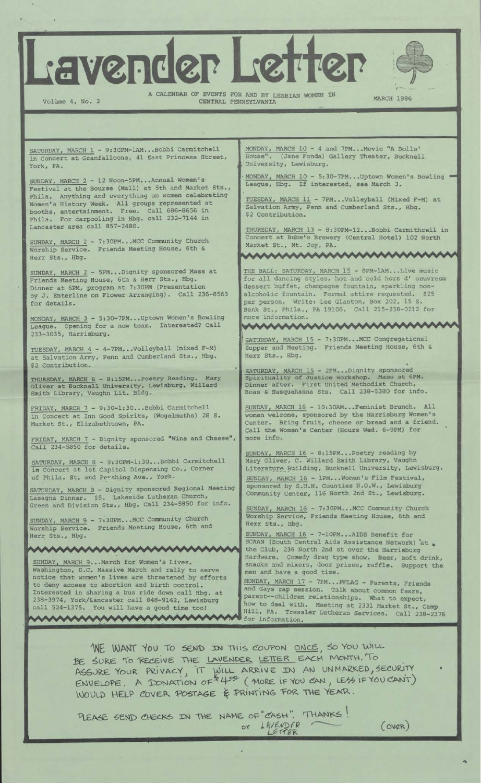Vender Let



Volume 4, No. 3

A CALENDAR OF EVENTS FOR AND BY LESBIAN WOMEN IN CENTRAL PENNSYLVANIA

AAA

人

**AA** 

MARCH 1986

SATURDAY, MARCH 1 - 9:30PM-1AM...Bobbi Carmitchell in Concert at Granfalloons, 41 East Princess Street, York, PA.

SUNDAY, MARCH 2 - 12 Noon-5PM...Annual Women's Festival at the Bourse (Mall) at 5th and Market Sts., Phila. Anything and everything on women celebrating Women's History Week. All groups represented at booths, entertainment. Free. Call 686-8656 in Phila. For carpooling in Hbg. call 232-7144 in Lancaster area call 857-2480.

SUNDAY, MARCH 2 - 7:30PM...MCC Community Church Worship Service. Friends Meeting House, 6th & Herr Sts., Hbg.

SUNDAY, MARCH <sup>2</sup> - 5PM...Dignity sponsored Mass at Friends Meeting House, 6th & Herr Sts., Hbg. Dinner at 6PM, program at 7:30PM (Presentation □y J. Enterline on Flower Arranging). Call 236-8563 for details.

MONDAY, MARCH 3 - 5:30-7PM\_\_ Uptown Women's Bowling League. Opening for a new team. Interested? Call 233-3035, Harrisburg.

TUESDAY, MARCH 4 - 4-7PM...Volleyball (mixed F-M) at Salvation Army, Penn and Cumberland Sts., Hbg. \$2 Contribution.

THURSDAY, MARCH 6 - 8:15PM-- Poetry Reading. Oliver at Bucknell University, Lewisburg, Smith Library, Vaughn Lit. Bldg. Mary Willard

FRIDAY, MARCH 7 - 9:30-1:30...Bobbi Carmitchell in Concert at Inn Good Spirits, (Wogelmuths) 28 S Market St., Elizabethtown, PA.

FRIDAY, MARCH 7 - Call 234-5850 for Dignity sponsored "Wine and Cheese", details.

SATURDAY, MARCH 8 - 9:30PM-1:30..•Bobbi Carmitchell in Concert at 1st Capitol Dispensing Co., Corner of Phila. St, and Pershing Ave., York.

- Dignity sponsored Regional Meeting SATURDAY, MARCH 8 - Dignity sponsored Regional<br>Lasagna Dinner, S5, Lakeside Lutheran Church, Green and Division Sts., Hbg. Call 234-5850 for info. Lasagna Dinner. \$5.

mmmmmmm

SUNDAY, MARCH 9 - 7:30PM...MCC Community Church Worship Service. Friends Meeting House, 6th and Herr Sts., Hbg.

SUNDAY, MARCH 9...March for Women's Lives. Washington, D.C. Massive March and rally to serve notice that women's lives are threatened by efforts to deny access to abortion and birth control. Interested in sharing a bus ride down call Hbg. at 238-3974, York/Lancaster call 848-9142, Lewisburg call 524-1375. You will have a good time too! mmmmmmmmm MONDAY, MARCH 10 - 4 and 7PM...Movie "A Dolls'<br>House". (Jane Fonda) Gallery Theater, Bucknel (Jane Fonda) Gallery Theater, Bucknell University, Lewisburg.

MONDAY, MARCH 10 - 5:30-7PM...Uptown Women's Bowling " League, Hbg. If interested, see March 3.

TUESDAY, MARCH 11 - 7PM...Volleyball (Mixed F-M) at Salvation Army, Penn and Cumberland Sts., Hbg. \$2 Contribution.

THURSDAY, MARCH 13 - 8:30PM-12...Bobbi Carmithcell in Concert at Bube's Brewery (Central Hotel) 102 North Market St., Mt. Joy, PA. mmmmmm

THE BALL: SATURDAY, MARCH 15 - 8PM-1AM...Live music for all dancing styles, hot and cold hors d' oeuvresm dessert buffet, champagne fountain, sparkling nonalcoholic fountain. Formal attire requested. \$25 per person. Write: Lee Glanton, Box 202, 15 S. Bank St., Phila., PA 19106. Call 215-238-0212 for more information.

M 7:30PM...MCC Congregational SATURDAY, MARCH 15 - Supper and Meeting. Friends Meeting House, 6th & Herr Sts., Hbg.

SATURDAY, MARCH 15 - 2PM...Dignity sponsored Spirituality of Justice Workshop. Mass at 6PM. Dinner after. First United Methodist Church, Boas & Susquehanna Sts. Call 238-5380 for info

SUNDAY, MARCH 16 - 10:30AM...Feminist Brunch. All women welcome, sponsored by the Harrisburg Women's Center. Bring fruit, cheese or bread and a friend. Call the Women's Center (Hours Wed. 6-9PM) for more info.

SUNDAY, MARCH 16 - 8:15PM...Poetry reading by Mary Oliver, C. Willard Smith Library, Vaughn Literature\_Building, Bucknell University, Lewisburg. SUNDAY, MARCH 16 - 1PM...Women's Film Festival sponsored by S.U.N. Counties N.O.W., Lewisburg Community Center, 116 North 2nd St., Lewisburg.

SUNDAY, MARCH 16 - 7:30PM...MCC Community Church Worship Service, Friends Meeting House, 6th and Herr Sts., Hbg.

SUNDAY, MARCH 16 - 7-10PM...AIDS Benefit for SCAAN (South Central Aids Assistance Network) at . the Club, 236 North 2nd st over the Harrisburg Hardware. Comedy drag type show. Beer, soft drink, snacks and mixers, door prizes, raffle. Support the men and have a good time.

MONDAY, MARCH 17 - 7PM...PFLAG - Parents, Friends and Gays rap session. Talk about common fears, parent—children relationships. What to expect, how to deal with. Meeting at 2331 Market St., Camp Hill, pa. Tressler Lutheran Services. Call 238-2376 for information.

WE WANT YOU TO SEND IN THIS COUPON ONCE, SO YOU WILL BE SURE TO RECEIVE THE LAVENDER LETTER EACH MONTH. TO ASSURE YOUR PRIVACY, IT WILL ARRIVE IN AN UNMARKED, SECURITY  $ENVELOPE.$  A DONATION OF  $44^{\circ9}$  (MORE IF YOU CAN, LESS IF YOU CANT) WOULD HELP COVER POSTAGE & PRINTING FOR THE YEAR.

PLEASE SEND CHECKS IN THE NAME OF "CASH". THANKS! or LAVENDER (OVER)